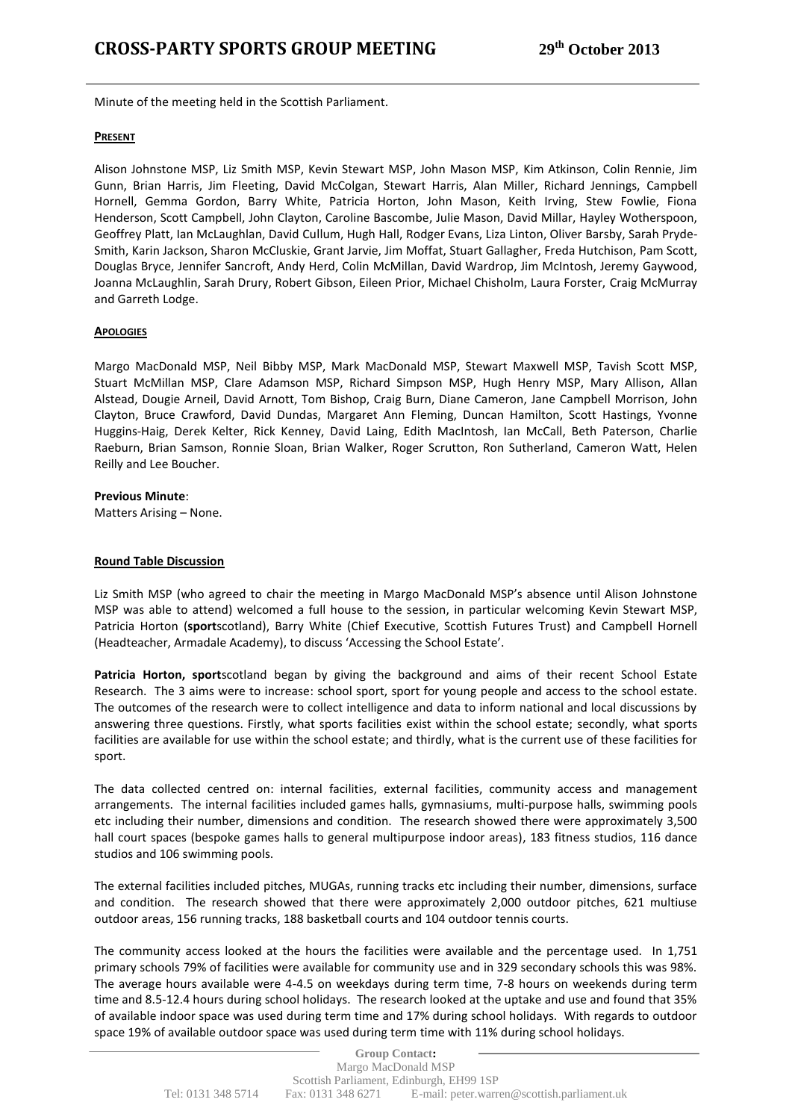Minute of the meeting held in the Scottish Parliament.

## **PRESENT**

Alison Johnstone MSP, Liz Smith MSP, Kevin Stewart MSP, John Mason MSP, Kim Atkinson, Colin Rennie, Jim Gunn, Brian Harris, Jim Fleeting, David McColgan, Stewart Harris, Alan Miller, Richard Jennings, Campbell Hornell, Gemma Gordon, Barry White, Patricia Horton, John Mason, Keith Irving, Stew Fowlie, Fiona Henderson, Scott Campbell, John Clayton, Caroline Bascombe, Julie Mason, David Millar, Hayley Wotherspoon, Geoffrey Platt, Ian McLaughlan, David Cullum, Hugh Hall, Rodger Evans, Liza Linton, Oliver Barsby, Sarah Pryde-Smith, Karin Jackson, Sharon McCluskie, Grant Jarvie, Jim Moffat, Stuart Gallagher, Freda Hutchison, Pam Scott, Douglas Bryce, Jennifer Sancroft, Andy Herd, Colin McMillan, David Wardrop, Jim McIntosh, Jeremy Gaywood, Joanna McLaughlin, Sarah Drury, Robert Gibson, Eileen Prior, Michael Chisholm, Laura Forster, Craig McMurray and Garreth Lodge.

## **APOLOGIES**

Margo MacDonald MSP, Neil Bibby MSP, Mark MacDonald MSP, Stewart Maxwell MSP, Tavish Scott MSP, Stuart McMillan MSP, Clare Adamson MSP, Richard Simpson MSP, Hugh Henry MSP, Mary Allison, Allan Alstead, Dougie Arneil, David Arnott, Tom Bishop, Craig Burn, Diane Cameron, Jane Campbell Morrison, John Clayton, Bruce Crawford, David Dundas, Margaret Ann Fleming, Duncan Hamilton, Scott Hastings, Yvonne Huggins-Haig, Derek Kelter, Rick Kenney, David Laing, Edith MacIntosh, Ian McCall, Beth Paterson, Charlie Raeburn, Brian Samson, Ronnie Sloan, Brian Walker, Roger Scrutton, Ron Sutherland, Cameron Watt, Helen Reilly and Lee Boucher.

## **Previous Minute**:

Matters Arising – None.

## **Round Table Discussion**

Liz Smith MSP (who agreed to chair the meeting in Margo MacDonald MSP's absence until Alison Johnstone MSP was able to attend) welcomed a full house to the session, in particular welcoming Kevin Stewart MSP, Patricia Horton (**sport**scotland), Barry White (Chief Executive, Scottish Futures Trust) and Campbell Hornell (Headteacher, Armadale Academy), to discuss 'Accessing the School Estate'.

**Patricia Horton, sport**scotland began by giving the background and aims of their recent School Estate Research. The 3 aims were to increase: school sport, sport for young people and access to the school estate. The outcomes of the research were to collect intelligence and data to inform national and local discussions by answering three questions. Firstly, what sports facilities exist within the school estate; secondly, what sports facilities are available for use within the school estate; and thirdly, what is the current use of these facilities for sport.

The data collected centred on: internal facilities, external facilities, community access and management arrangements. The internal facilities included games halls, gymnasiums, multi-purpose halls, swimming pools etc including their number, dimensions and condition. The research showed there were approximately 3,500 hall court spaces (bespoke games halls to general multipurpose indoor areas), 183 fitness studios, 116 dance studios and 106 swimming pools.

The external facilities included pitches, MUGAs, running tracks etc including their number, dimensions, surface and condition. The research showed that there were approximately 2,000 outdoor pitches, 621 multiuse outdoor areas, 156 running tracks, 188 basketball courts and 104 outdoor tennis courts.

The community access looked at the hours the facilities were available and the percentage used. In 1,751 primary schools 79% of facilities were available for community use and in 329 secondary schools this was 98%. The average hours available were 4-4.5 on weekdays during term time, 7-8 hours on weekends during term time and 8.5-12.4 hours during school holidays. The research looked at the uptake and use and found that 35% of available indoor space was used during term time and 17% during school holidays. With regards to outdoor space 19% of available outdoor space was used during term time with 11% during school holidays.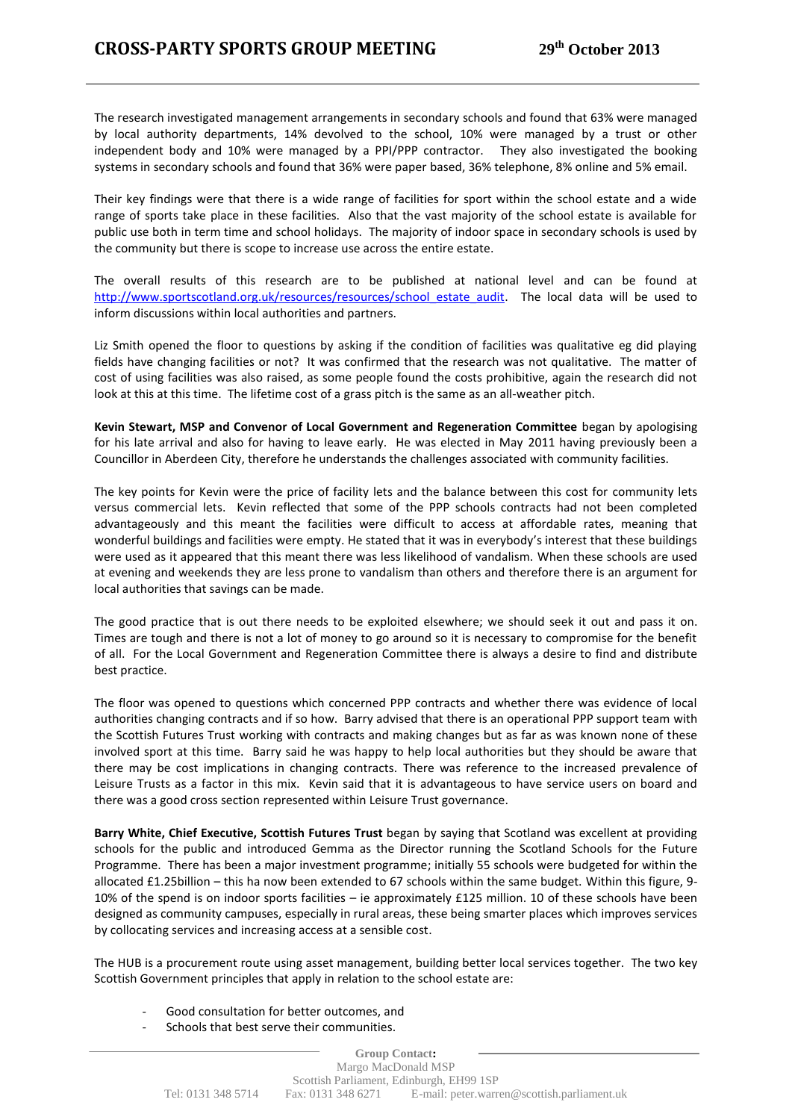The research investigated management arrangements in secondary schools and found that 63% were managed by local authority departments, 14% devolved to the school, 10% were managed by a trust or other independent body and 10% were managed by a PPI/PPP contractor. They also investigated the booking systems in secondary schools and found that 36% were paper based, 36% telephone, 8% online and 5% email.

Their key findings were that there is a wide range of facilities for sport within the school estate and a wide range of sports take place in these facilities. Also that the vast majority of the school estate is available for public use both in term time and school holidays. The majority of indoor space in secondary schools is used by the community but there is scope to increase use across the entire estate.

The overall results of this research are to be published at national level and can be found at [http://www.sportscotland.org.uk/resources/resources/school\\_estate\\_audit.](http://www.sportscotland.org.uk/resources/resources/school_estate_audit) The local data will be used to inform discussions within local authorities and partners.

Liz Smith opened the floor to questions by asking if the condition of facilities was qualitative eg did playing fields have changing facilities or not? It was confirmed that the research was not qualitative. The matter of cost of using facilities was also raised, as some people found the costs prohibitive, again the research did not look at this at this time. The lifetime cost of a grass pitch is the same as an all-weather pitch.

**Kevin Stewart, MSP and Convenor of Local Government and Regeneration Committee** began by apologising for his late arrival and also for having to leave early. He was elected in May 2011 having previously been a Councillor in Aberdeen City, therefore he understands the challenges associated with community facilities.

The key points for Kevin were the price of facility lets and the balance between this cost for community lets versus commercial lets. Kevin reflected that some of the PPP schools contracts had not been completed advantageously and this meant the facilities were difficult to access at affordable rates, meaning that wonderful buildings and facilities were empty. He stated that it was in everybody's interest that these buildings were used as it appeared that this meant there was less likelihood of vandalism. When these schools are used at evening and weekends they are less prone to vandalism than others and therefore there is an argument for local authorities that savings can be made.

The good practice that is out there needs to be exploited elsewhere; we should seek it out and pass it on. Times are tough and there is not a lot of money to go around so it is necessary to compromise for the benefit of all. For the Local Government and Regeneration Committee there is always a desire to find and distribute best practice.

The floor was opened to questions which concerned PPP contracts and whether there was evidence of local authorities changing contracts and if so how. Barry advised that there is an operational PPP support team with the Scottish Futures Trust working with contracts and making changes but as far as was known none of these involved sport at this time. Barry said he was happy to help local authorities but they should be aware that there may be cost implications in changing contracts. There was reference to the increased prevalence of Leisure Trusts as a factor in this mix. Kevin said that it is advantageous to have service users on board and there was a good cross section represented within Leisure Trust governance.

**Barry White, Chief Executive, Scottish Futures Trust** began by saying that Scotland was excellent at providing schools for the public and introduced Gemma as the Director running the Scotland Schools for the Future Programme. There has been a major investment programme; initially 55 schools were budgeted for within the allocated £1.25billion – this ha now been extended to 67 schools within the same budget. Within this figure, 9- 10% of the spend is on indoor sports facilities – ie approximately £125 million. 10 of these schools have been designed as community campuses, especially in rural areas, these being smarter places which improves services by collocating services and increasing access at a sensible cost.

The HUB is a procurement route using asset management, building better local services together. The two key Scottish Government principles that apply in relation to the school estate are:

- Good consultation for better outcomes, and
- Schools that best serve their communities.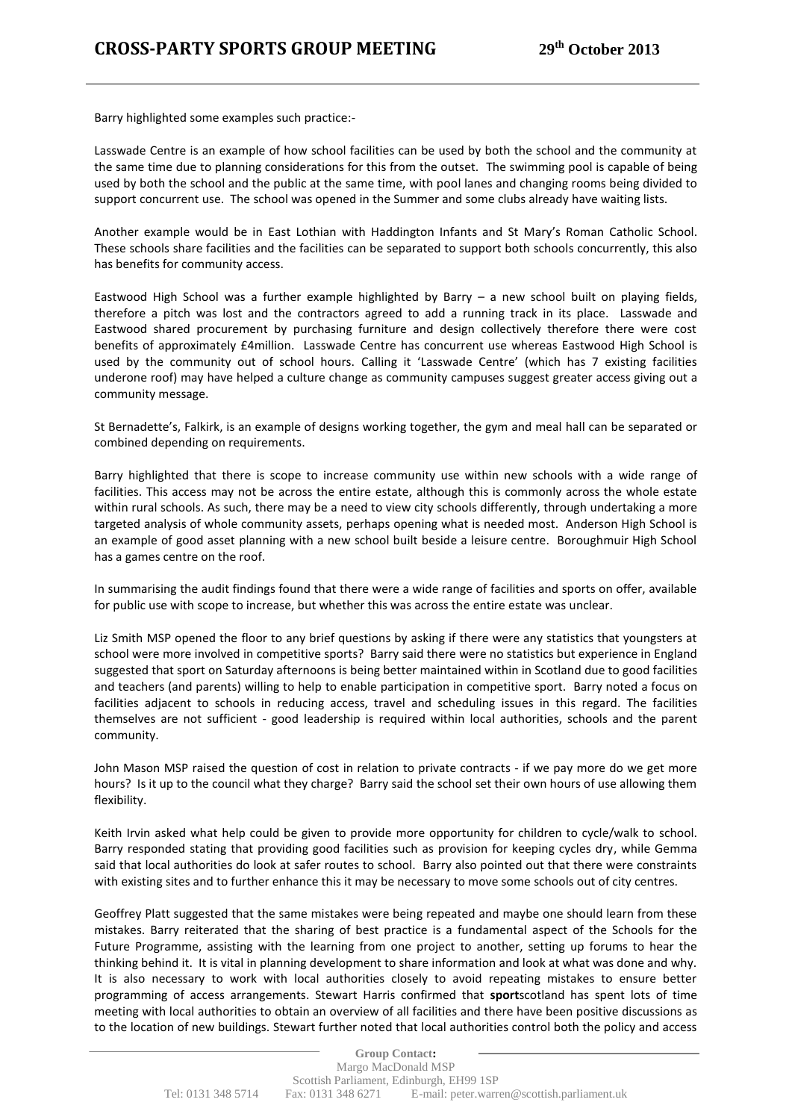Barry highlighted some examples such practice:-

Lasswade Centre is an example of how school facilities can be used by both the school and the community at the same time due to planning considerations for this from the outset. The swimming pool is capable of being used by both the school and the public at the same time, with pool lanes and changing rooms being divided to support concurrent use. The school was opened in the Summer and some clubs already have waiting lists.

Another example would be in East Lothian with Haddington Infants and St Mary's Roman Catholic School. These schools share facilities and the facilities can be separated to support both schools concurrently, this also has benefits for community access.

Eastwood High School was a further example highlighted by Barry – a new school built on playing fields, therefore a pitch was lost and the contractors agreed to add a running track in its place. Lasswade and Eastwood shared procurement by purchasing furniture and design collectively therefore there were cost benefits of approximately £4million. Lasswade Centre has concurrent use whereas Eastwood High School is used by the community out of school hours. Calling it 'Lasswade Centre' (which has 7 existing facilities underone roof) may have helped a culture change as community campuses suggest greater access giving out a community message.

St Bernadette's, Falkirk, is an example of designs working together, the gym and meal hall can be separated or combined depending on requirements.

Barry highlighted that there is scope to increase community use within new schools with a wide range of facilities. This access may not be across the entire estate, although this is commonly across the whole estate within rural schools. As such, there may be a need to view city schools differently, through undertaking a more targeted analysis of whole community assets, perhaps opening what is needed most. Anderson High School is an example of good asset planning with a new school built beside a leisure centre. Boroughmuir High School has a games centre on the roof.

In summarising the audit findings found that there were a wide range of facilities and sports on offer, available for public use with scope to increase, but whether this was across the entire estate was unclear.

Liz Smith MSP opened the floor to any brief questions by asking if there were any statistics that youngsters at school were more involved in competitive sports? Barry said there were no statistics but experience in England suggested that sport on Saturday afternoons is being better maintained within in Scotland due to good facilities and teachers (and parents) willing to help to enable participation in competitive sport. Barry noted a focus on facilities adjacent to schools in reducing access, travel and scheduling issues in this regard. The facilities themselves are not sufficient - good leadership is required within local authorities, schools and the parent community.

John Mason MSP raised the question of cost in relation to private contracts - if we pay more do we get more hours? Is it up to the council what they charge? Barry said the school set their own hours of use allowing them flexibility.

Keith Irvin asked what help could be given to provide more opportunity for children to cycle/walk to school. Barry responded stating that providing good facilities such as provision for keeping cycles dry, while Gemma said that local authorities do look at safer routes to school. Barry also pointed out that there were constraints with existing sites and to further enhance this it may be necessary to move some schools out of city centres.

Geoffrey Platt suggested that the same mistakes were being repeated and maybe one should learn from these mistakes. Barry reiterated that the sharing of best practice is a fundamental aspect of the Schools for the Future Programme, assisting with the learning from one project to another, setting up forums to hear the thinking behind it. It is vital in planning development to share information and look at what was done and why. It is also necessary to work with local authorities closely to avoid repeating mistakes to ensure better programming of access arrangements. Stewart Harris confirmed that **sport**scotland has spent lots of time meeting with local authorities to obtain an overview of all facilities and there have been positive discussions as to the location of new buildings. Stewart further noted that local authorities control both the policy and access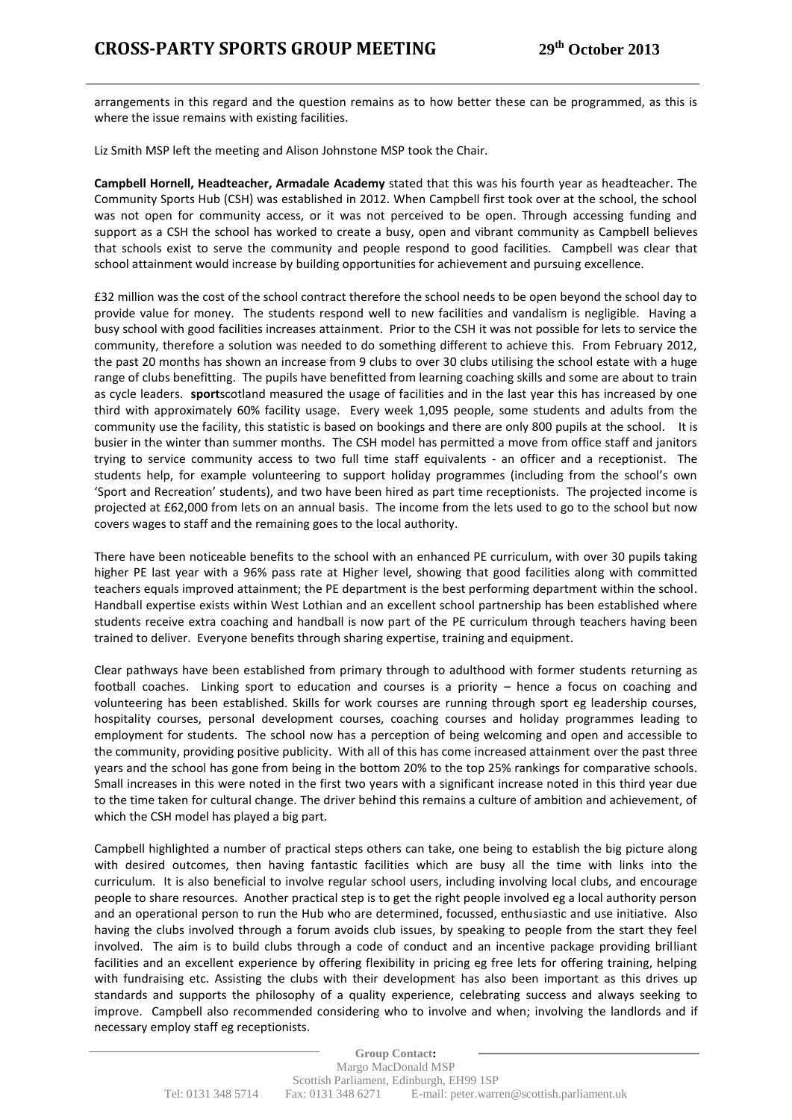arrangements in this regard and the question remains as to how better these can be programmed, as this is where the issue remains with existing facilities.

Liz Smith MSP left the meeting and Alison Johnstone MSP took the Chair.

**Campbell Hornell, Headteacher, Armadale Academy** stated that this was his fourth year as headteacher. The Community Sports Hub (CSH) was established in 2012. When Campbell first took over at the school, the school was not open for community access, or it was not perceived to be open. Through accessing funding and support as a CSH the school has worked to create a busy, open and vibrant community as Campbell believes that schools exist to serve the community and people respond to good facilities. Campbell was clear that school attainment would increase by building opportunities for achievement and pursuing excellence.

£32 million was the cost of the school contract therefore the school needs to be open beyond the school day to provide value for money. The students respond well to new facilities and vandalism is negligible. Having a busy school with good facilities increases attainment. Prior to the CSH it was not possible for lets to service the community, therefore a solution was needed to do something different to achieve this. From February 2012, the past 20 months has shown an increase from 9 clubs to over 30 clubs utilising the school estate with a huge range of clubs benefitting. The pupils have benefitted from learning coaching skills and some are about to train as cycle leaders. **sport**scotland measured the usage of facilities and in the last year this has increased by one third with approximately 60% facility usage. Every week 1,095 people, some students and adults from the community use the facility, this statistic is based on bookings and there are only 800 pupils at the school. It is busier in the winter than summer months. The CSH model has permitted a move from office staff and janitors trying to service community access to two full time staff equivalents - an officer and a receptionist. The students help, for example volunteering to support holiday programmes (including from the school's own 'Sport and Recreation' students), and two have been hired as part time receptionists. The projected income is projected at £62,000 from lets on an annual basis. The income from the lets used to go to the school but now covers wages to staff and the remaining goes to the local authority.

There have been noticeable benefits to the school with an enhanced PE curriculum, with over 30 pupils taking higher PE last year with a 96% pass rate at Higher level, showing that good facilities along with committed teachers equals improved attainment; the PE department is the best performing department within the school. Handball expertise exists within West Lothian and an excellent school partnership has been established where students receive extra coaching and handball is now part of the PE curriculum through teachers having been trained to deliver. Everyone benefits through sharing expertise, training and equipment.

Clear pathways have been established from primary through to adulthood with former students returning as football coaches. Linking sport to education and courses is a priority – hence a focus on coaching and volunteering has been established. Skills for work courses are running through sport eg leadership courses, hospitality courses, personal development courses, coaching courses and holiday programmes leading to employment for students. The school now has a perception of being welcoming and open and accessible to the community, providing positive publicity. With all of this has come increased attainment over the past three years and the school has gone from being in the bottom 20% to the top 25% rankings for comparative schools. Small increases in this were noted in the first two years with a significant increase noted in this third year due to the time taken for cultural change. The driver behind this remains a culture of ambition and achievement, of which the CSH model has played a big part.

Campbell highlighted a number of practical steps others can take, one being to establish the big picture along with desired outcomes, then having fantastic facilities which are busy all the time with links into the curriculum. It is also beneficial to involve regular school users, including involving local clubs, and encourage people to share resources. Another practical step is to get the right people involved eg a local authority person and an operational person to run the Hub who are determined, focussed, enthusiastic and use initiative. Also having the clubs involved through a forum avoids club issues, by speaking to people from the start they feel involved. The aim is to build clubs through a code of conduct and an incentive package providing brilliant facilities and an excellent experience by offering flexibility in pricing eg free lets for offering training, helping with fundraising etc. Assisting the clubs with their development has also been important as this drives up standards and supports the philosophy of a quality experience, celebrating success and always seeking to improve. Campbell also recommended considering who to involve and when; involving the landlords and if necessary employ staff eg receptionists.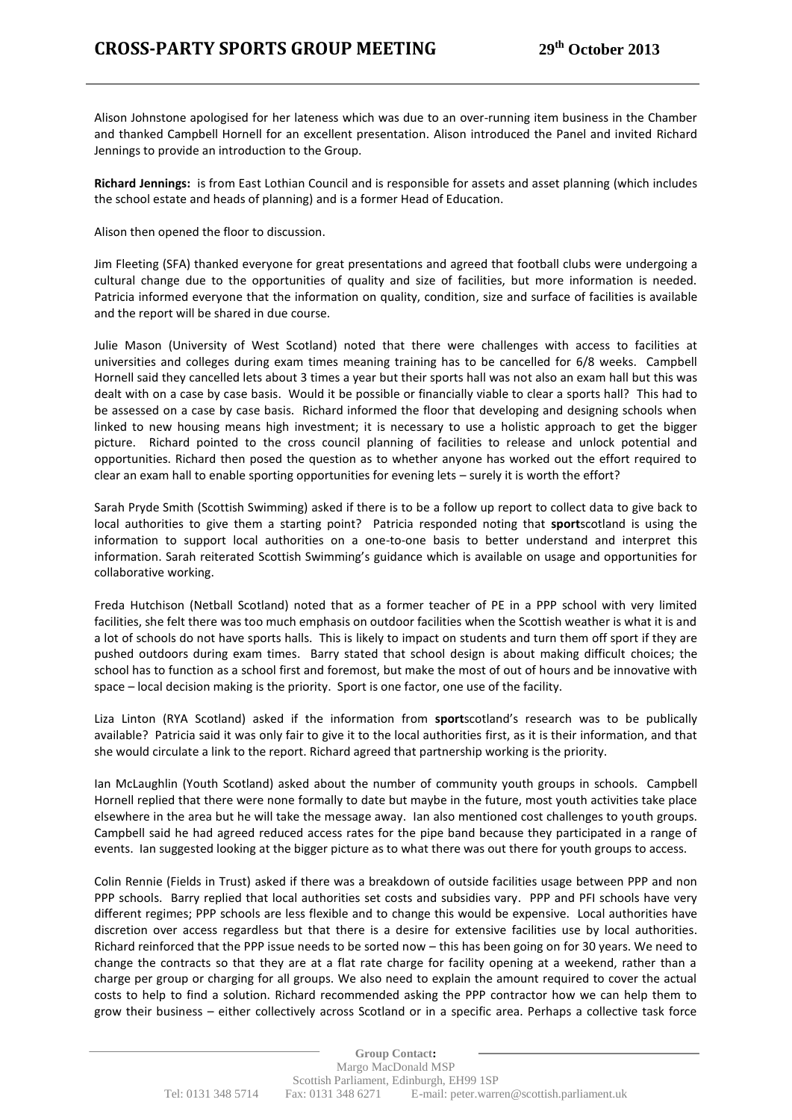Alison Johnstone apologised for her lateness which was due to an over-running item business in the Chamber and thanked Campbell Hornell for an excellent presentation. Alison introduced the Panel and invited Richard Jennings to provide an introduction to the Group.

**Richard Jennings:** is from East Lothian Council and is responsible for assets and asset planning (which includes the school estate and heads of planning) and is a former Head of Education.

Alison then opened the floor to discussion.

Jim Fleeting (SFA) thanked everyone for great presentations and agreed that football clubs were undergoing a cultural change due to the opportunities of quality and size of facilities, but more information is needed. Patricia informed everyone that the information on quality, condition, size and surface of facilities is available and the report will be shared in due course.

Julie Mason (University of West Scotland) noted that there were challenges with access to facilities at universities and colleges during exam times meaning training has to be cancelled for 6/8 weeks. Campbell Hornell said they cancelled lets about 3 times a year but their sports hall was not also an exam hall but this was dealt with on a case by case basis. Would it be possible or financially viable to clear a sports hall? This had to be assessed on a case by case basis. Richard informed the floor that developing and designing schools when linked to new housing means high investment; it is necessary to use a holistic approach to get the bigger picture. Richard pointed to the cross council planning of facilities to release and unlock potential and opportunities. Richard then posed the question as to whether anyone has worked out the effort required to clear an exam hall to enable sporting opportunities for evening lets – surely it is worth the effort?

Sarah Pryde Smith (Scottish Swimming) asked if there is to be a follow up report to collect data to give back to local authorities to give them a starting point? Patricia responded noting that **sport**scotland is using the information to support local authorities on a one-to-one basis to better understand and interpret this information. Sarah reiterated Scottish Swimming's guidance which is available on usage and opportunities for collaborative working.

Freda Hutchison (Netball Scotland) noted that as a former teacher of PE in a PPP school with very limited facilities, she felt there was too much emphasis on outdoor facilities when the Scottish weather is what it is and a lot of schools do not have sports halls. This is likely to impact on students and turn them off sport if they are pushed outdoors during exam times. Barry stated that school design is about making difficult choices; the school has to function as a school first and foremost, but make the most of out of hours and be innovative with space – local decision making is the priority. Sport is one factor, one use of the facility.

Liza Linton (RYA Scotland) asked if the information from **sport**scotland's research was to be publically available? Patricia said it was only fair to give it to the local authorities first, as it is their information, and that she would circulate a link to the report. Richard agreed that partnership working is the priority.

Ian McLaughlin (Youth Scotland) asked about the number of community youth groups in schools. Campbell Hornell replied that there were none formally to date but maybe in the future, most youth activities take place elsewhere in the area but he will take the message away. Ian also mentioned cost challenges to youth groups. Campbell said he had agreed reduced access rates for the pipe band because they participated in a range of events. Ian suggested looking at the bigger picture as to what there was out there for youth groups to access.

Colin Rennie (Fields in Trust) asked if there was a breakdown of outside facilities usage between PPP and non PPP schools. Barry replied that local authorities set costs and subsidies vary. PPP and PFI schools have very different regimes; PPP schools are less flexible and to change this would be expensive. Local authorities have discretion over access regardless but that there is a desire for extensive facilities use by local authorities. Richard reinforced that the PPP issue needs to be sorted now – this has been going on for 30 years. We need to change the contracts so that they are at a flat rate charge for facility opening at a weekend, rather than a charge per group or charging for all groups. We also need to explain the amount required to cover the actual costs to help to find a solution. Richard recommended asking the PPP contractor how we can help them to grow their business – either collectively across Scotland or in a specific area. Perhaps a collective task force